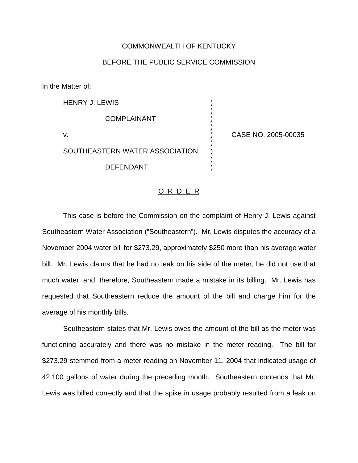## COMMONWEALTH OF KENTUCKY

## BEFORE THE PUBLIC SERVICE COMMISSION

)

)

)

)

In the Matter of:

HENRY J. LEWIS ) **COMPLAINANT** v. ) CASE NO. 2005-00035 SOUTHEASTERN WATER ASSOCIATION

## O R D E R

DEFENDANT )

This case is before the Commission on the complaint of Henry J. Lewis against Southeastern Water Association ("Southeastern"). Mr. Lewis disputes the accuracy of a November 2004 water bill for \$273.29, approximately \$250 more than his average water bill. Mr. Lewis claims that he had no leak on his side of the meter, he did not use that much water, and, therefore, Southeastern made a mistake in its billing. Mr. Lewis has requested that Southeastern reduce the amount of the bill and charge him for the average of his monthly bills.

Southeastern states that Mr. Lewis owes the amount of the bill as the meter was functioning accurately and there was no mistake in the meter reading. The bill for \$273.29 stemmed from a meter reading on November 11, 2004 that indicated usage of 42,100 gallons of water during the preceding month. Southeastern contends that Mr. Lewis was billed correctly and that the spike in usage probably resulted from a leak on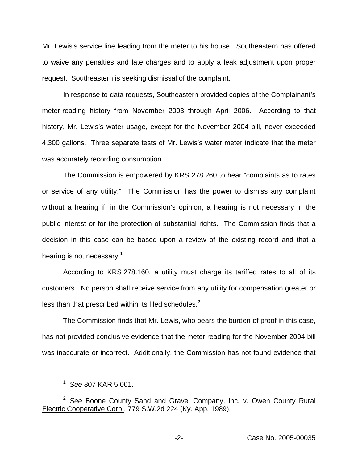Mr. Lewis's service line leading from the meter to his house. Southeastern has offered to waive any penalties and late charges and to apply a leak adjustment upon proper request. Southeastern is seeking dismissal of the complaint.

In response to data requests, Southeastern provided copies of the Complainant's meter-reading history from November 2003 through April 2006. According to that history, Mr. Lewis's water usage, except for the November 2004 bill, never exceeded 4,300 gallons. Three separate tests of Mr. Lewis's water meter indicate that the meter was accurately recording consumption.

The Commission is empowered by KRS 278.260 to hear "complaints as to rates or service of any utility." The Commission has the power to dismiss any complaint without a hearing if, in the Commission's opinion, a hearing is not necessary in the public interest or for the protection of substantial rights. The Commission finds that a decision in this case can be based upon a review of the existing record and that a hearing is not necessary.<sup>1</sup>

According to KRS 278.160, a utility must charge its tariffed rates to all of its customers. No person shall receive service from any utility for compensation greater or less than that prescribed within its filed schedules.<sup>2</sup>

The Commission finds that Mr. Lewis, who bears the burden of proof in this case, has not provided conclusive evidence that the meter reading for the November 2004 bill was inaccurate or incorrect. Additionally, the Commission has not found evidence that

<sup>1</sup> *See* 807 KAR 5:001.

<sup>2</sup> *See* Boone County Sand and Gravel Company, Inc. v. Owen County Rural Electric Cooperative Corp., 779 S.W.2d 224 (Ky. App. 1989).